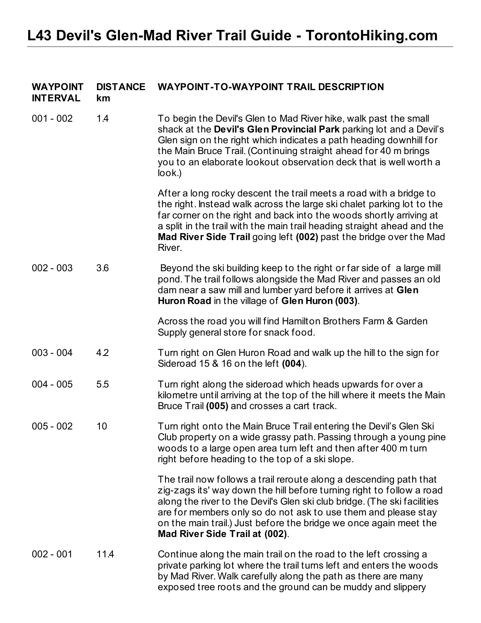| <b>WAYPOINT</b><br><b>INTERVAL</b> | <b>DISTANCE</b><br>km | <b>WAYPOINT-TO-WAYPOINT TRAIL DESCRIPTION</b>                                                                                                                                                                                                                                                                                                                                                    |
|------------------------------------|-----------------------|--------------------------------------------------------------------------------------------------------------------------------------------------------------------------------------------------------------------------------------------------------------------------------------------------------------------------------------------------------------------------------------------------|
| $001 - 002$                        | 1.4                   | To begin the Devil's Glen to Mad River hike, walk past the small<br>shack at the Devil's Glen Provincial Park parking lot and a Devil's<br>Glen sign on the right which indicates a path heading downhill for<br>the Main Bruce Trail. (Continuing straight ahead for 40 m brings<br>you to an elaborate lookout observation deck that is well worth a<br>look.)                                 |
|                                    |                       | After a long rocky descent the trail meets a road with a bridge to<br>the right. Instead walk across the large ski chalet parking lot to the<br>far corner on the right and back into the woods shortly arriving at<br>a split in the trail with the main trail heading straight ahead and the<br>Mad River Side Trail going left (002) past the bridge over the Mad<br>River.                   |
| $002 - 003$                        | 3.6                   | Beyond the ski building keep to the right or far side of a large mill<br>pond. The trail follows alongside the Mad River and passes an old<br>dam near a saw mill and lumber yard before it arrives at Glen<br>Huron Road in the village of Glen Huron (003).                                                                                                                                    |
|                                    |                       | Across the road you will find Hamilton Brothers Farm & Garden<br>Supply general store for snack food.                                                                                                                                                                                                                                                                                            |
| $003 - 004$                        | 4.2                   | Turn right on Glen Huron Road and walk up the hill to the sign for<br>Sideroad 15 & 16 on the left (004).                                                                                                                                                                                                                                                                                        |
| $004 - 005$                        | 5.5                   | Turn right along the sideroad which heads upwards for over a<br>kilometre until arriving at the top of the hill where it meets the Main<br>Bruce Trail (005) and crosses a cart track.                                                                                                                                                                                                           |
| $005 - 002$                        | 10                    | Turn right onto the Main Bruce Trail entering the Devil's Glen Ski<br>Club property on a wide grassy path. Passing through a young pine<br>woods to a large open area turn left and then after 400 m turn<br>right before heading to the top of a ski slope.                                                                                                                                     |
|                                    |                       | The trail now follows a trail reroute along a descending path that<br>zig-zags its' way down the hill before turning right to follow a road<br>along the river to the Devil's Glen ski club bridge. (The ski facilities<br>are for members only so do not ask to use them and please stay<br>on the main trail.) Just before the bridge we once again meet the<br>Mad River Side Trail at (002). |
| $002 - 001$                        | 11.4                  | Continue along the main trail on the road to the left crossing a<br>private parking lot where the trail turns left and enters the woods<br>by Mad River. Walk carefully along the path as there are many<br>exposed tree roots and the ground can be muddy and slippery                                                                                                                          |